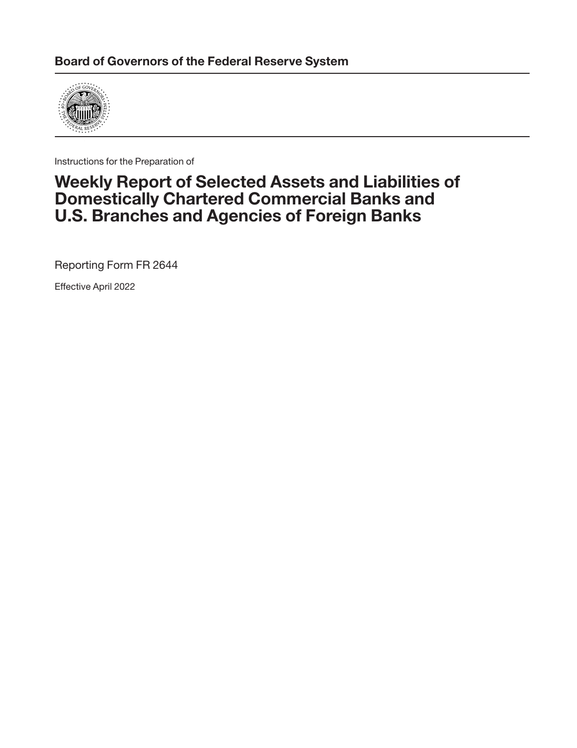

Instructions for the Preparation of

## **Weekly Report of Selected Assets and Liabilities of Domestically Chartered Commercial Banks and U.S. Branches and Agencies of Foreign Banks**

Reporting Form FR 2644

Effective April 2022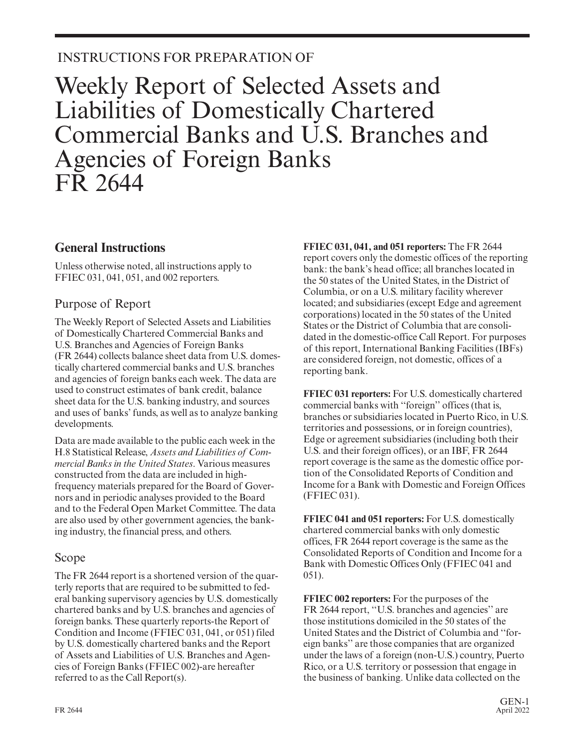## INSTRUCTIONS FOR PREPARATION OF

# Weekly Report of Selected Assets and Liabilities of Domestically Chartered Commercial Banks and U.S. Branches and Agencies of Foreign Banks FR 2644

### **General Instructions**

Unless otherwise noted, all instructions apply to FFIEC 031, 041, 051, and 002 reporters.

### Purpose of Report

The Weekly Report of Selected Assets and Liabilities of Domestically Chartered Commercial Banks and U.S. Branches and Agencies of Foreign Banks (FR 2644) collects balance sheet data from U.S. domestically chartered commercial banks and U.S. branches and agencies of foreign banks each week. The data are used to construct estimates of bank credit, balance sheet data for the U.S. banking industry, and sources and uses of banks' funds, as well as to analyze banking developments.

Data are made available to the public each week in the H.8 Statistical Release, *Assets and Liabilities of Commercial Banks in the United States*. Various measures constructed from the data are included in highfrequency materials prepared for the Board of Gover nors and in periodic analyses provided to the Board and to the Federal Open Market Committee. The data are also used by other government agencies, the banking industry, the financial press, and others.

### Scope

The FR 2644 report is a shortened version of the quarterly reports that are required to be submitted to federal banking supervisory agencies by U.S. domestically chartered banks and by U.S. branches and agencies of foreign banks. These quarterly reports-the Report of Condition and Income (FFIEC 031, 041, or 051) filed by U.S. domestically chartered banks and the Report of Assets and Liabilities of U.S. Branches and Agencies of Foreign Banks (FFIEC 002)-are hereafter referred to as the Call Report(s).

**FFIEC 031, 041, and 051 reporters:** The FR 2644 report covers only the domestic offices of the reporting bank: the bank's head office; all branches located in the 50 states of the United States, in the District of Columbia, or on a U.S. military facility wherever located; and subsidiaries (except Edge and agreement corporations) located in the 50 states of the United States or the District of Columbia that are consolidated in the domestic-office Call Report. For purposes of this report, International Banking Facilities (IBFs) are considered foreign, not domestic, offices of a reporting bank.

**FFIEC 031 reporters:** For U.S. domestically chartered commercial banks with ''foreign'' offices (that is, branches or subsidiaries located in Puerto Rico, in U.S. territories and possessions, or in foreign countries), Edge or agreement subsidiaries (including both their U.S. and their foreign offices), or an IBF, FR 2644 report coverage is the same as the domestic office portion of the Consolidated Reports of Condition and Income for a Bank with Domestic and Foreign Offices (FFIEC 031).

**FFIEC 041 and 051 reporters:** For U.S. domestically chartered commercial banks with only domestic offices, FR 2644 report coverage is the same as the Consolidated Reports of Condition and Income for a Bank with Domestic Offices Only (FFIEC 041 and 051).

**FFIEC 002 reporters:** For the purposes of the FR 2644 report, ''U.S. branches and agencies'' are those institutions domiciled in the 50 states of the United States and the District of Columbia and ''for eign banks'' are those companies that are organized under the laws of a foreign (non-U.S.) country, Puerto Rico, or a U.S. territory or possession that engage in the business of banking. Unlike data collected on the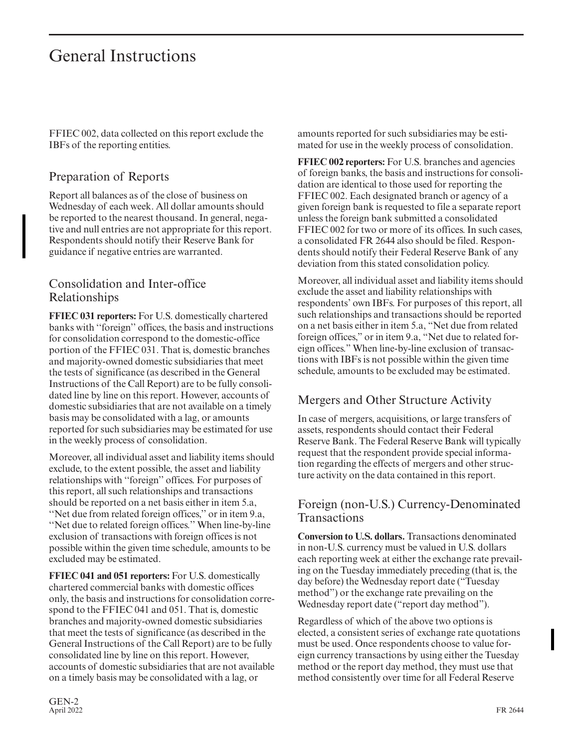## General Instructions

FFIEC 002, data collected on this report exclude the IBFs of the reporting entities.

### Preparation of Reports

Report all balances as of the close of business on Wednesday of each week. All dollar amounts should be reported to the nearest thousand. In general, negative and null entries are not appropriate for this report. Respondents should notify their Reserve Bank for guidance if negative entries are warranted.

### Consolidation and Inter-office Relationships

**FFIEC 031 reporters:** For U.S. domestically chartered banks with ''foreign'' offices, the basis and instructions for consolidation correspond to the domestic-office portion of the FFIEC 031. That is, domestic branches and majority-owned domestic subsidiaries that meet the tests of significance (as described in the General Instructions of the Call Report) are to be fully consolidated line by line on this report. However, accounts of domestic subsidiaries that are not available on a timely basis may be consolidated with a lag, or amounts reported for such subsidiaries may be estimated for use in the weekly process of consolidation.

Moreover, all individual asset and liability items should exclude, to the extent possible, the asset and liability relationships with ''foreign'' offices. For purposes of this report, all such relationships and transactions should be reported on a net basis either in item 5.a, ''Net due from related foreign offices,'' or in item 9.a, ''Net due to related foreign offices.'' When line-by-line exclusion of transactions with foreign offices is not possible within the given time schedule, amounts to be excluded may be estimated.

**FFIEC 041 and 051 reporters:** For U.S. domestically chartered commercial banks with domestic offices only, the basis and instructions for consolidation correspond to the FFIEC 041 and 051. That is, domestic branches and majority-owned domestic subsidiaries that meet the tests of significance (as described in the General Instructions of the Call Report) are to be fully consolidated line by line on this report. However, accounts of domestic subsidiaries that are not available on a timely basis may be consolidated with a lag, or

amounts reported for such subsidiaries may be estimated for use in the weekly process of consolidation.

**FFIEC 002 reporters:** For U.S. branches and agencies of foreign banks, the basis and instructions for consolidation are identical to those used for reporting the FFIEC 002. Each designated branch or agency of a given foreign bank is requested to file a separate report unless the foreign bank submitted a consolidated FFIEC 002 for two or more of its offices. In such cases, a consolidated FR 2644 also should be filed. Respondents should notify their Federal Reserve Bank of any deviation from this stated consolidation policy.

Moreover, all individual asset and liability items should exclude the asset and liability relationships with respondents' own IBFs. For purposes of this report, all such relationships and transactions should be reported on a net basis either in item 5.a, "Net due from related foreign offices," or in item 9.a, "Net due to related for eign offices." When line-by-line exclusion of transactions with IBFs is not possible within the given time schedule, amounts to be excluded may be estimated.

### Mergers and Other Structure Activity

In case of mergers, acquisitions, or large transfers of assets, respondents should contact their Federal Reserve Bank. The Federal Reserve Bank will typically request that the respondent provide special information regarding the effects of mergers and other structure activity on the data contained in this report.

### Foreign (non-U.S.) Currency-Denominated Transactions

**Conversion to U.S. dollars.** Transactions denominated in non-U.S. currency must be valued in U.S. dollars each reporting week at either the exchange rate prevailing on the Tuesday immediately preceding (that is, the day before) the Wednesday report date ("Tuesday method") or the exchange rate prevailing on the Wednesday report date ("report day method").

Regardless of which of the above two options is elected, a consistent series of exchange rate quotations must be used. Once respondents choose to value for eign currency transactions by using either the Tuesday method or the report day method, they must use that method consistently over time for all Federal Reserve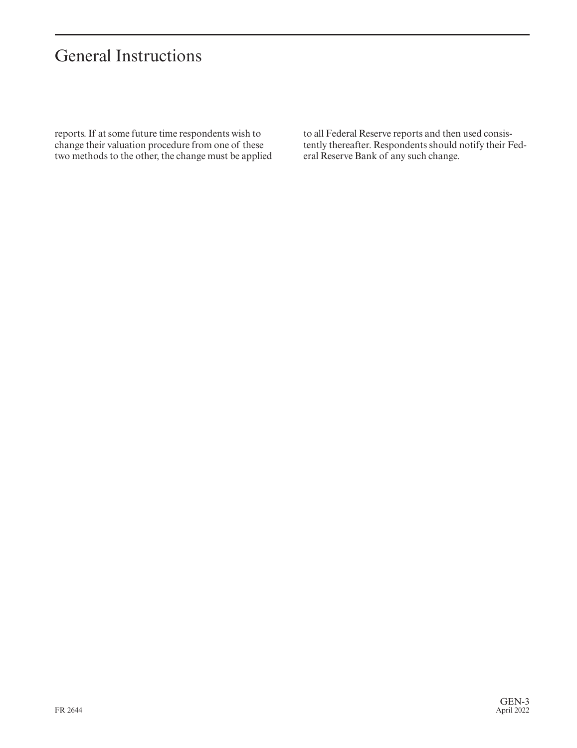# General Instructions

reports. If at some future time respondents wish to change their valuation procedure from one of these two methods to the other, the change must be applied

to all Federal Reserve reports and then used consistently thereafter. Respondents should notify their Federal Reserve Bank of any such change.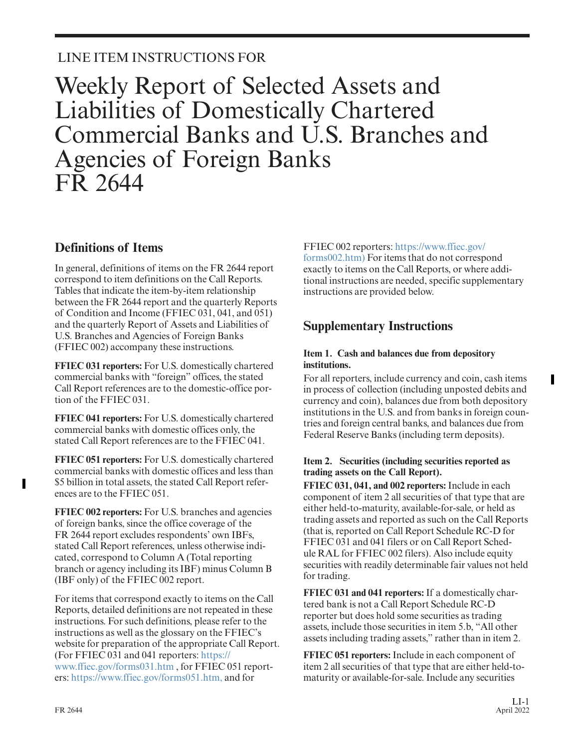## LINE ITEM INSTRUCTIONS FOR

# Weekly Report of Selected Assets and Liabilities of Domestically Chartered Commercial Banks and U.S. Branches and Agencies of Foreign Banks FR 2644

### **Definitions of Items**

In general, definitions of items on the FR 2644 report correspond to item definitions on the Call Reports. Tables that indicate the item-by-item relationship between the FR 2644 report and the quarterly Reports of Condition and Income (FFIEC 031, 041, and 051) and the quarterly Report of Assets and Liabilities of U.S. Branches and Agencies of Foreign Banks (FFIEC 002) accompany these instructions.

**FFIEC 031 reporters:** For U.S. domestically chartered commercial banks with "foreign" offices, the stated Call Report references are to the domestic-office portion of the FFIEC 031.

**FFIEC 041 reporters:** For U.S. domestically chartered commercial banks with domestic offices only, the stated Call Report references are to the FFIEC 041.

**FFIEC 051 reporters:** For U.S. domestically chartered commercial banks with domestic offices and less than \$5 billion in total assets, the stated Call Report references are to the FFIEC 051.

**FFIEC 002 reporters:** For U.S. branches and agencies of foreign banks, since the office coverage of the FR 2644 report excludes respondents' own IBFs, stated Call Report references, unless otherwise indicated, correspond to Column A (Total reporting branch or agency including its IBF) minus Column B (IBF only) of the FFIEC 002 report.

For items that correspond exactly to items on the Call Reports, detailed definitions are not repeated in these instructions. For such definitions, please refer to the instructions as well as the glossary on the FFIEC's website for preparation of the appropriate Call Report. (For FFIEC 031 and 041 reporters: [https://](https://www.ffiec.gov/forms031.htm) [www.ffiec.gov/forms031.htm](https://www.ffiec.gov/forms031.htm) , for FFIEC 051 reporters: [https://www.ffiec.gov/forms051.htm,](https://www.ffiec.gov/forms051.htm) and for

#### FFIEC 002 reporters: [https://www.ffiec.gov/](https://www.ffiec.gov/forms002.htm)

[forms002.htm\)](https://www.ffiec.gov/forms002.htm) For items that do not correspond exactly to items on the Call Reports, or where additional instructions are needed, specific supplementary instructions are provided below.

### **Supplementary Instructions**

#### **Item 1. Cash and balances due from depository institutions.**

For all reporters, include currency and coin, cash items in process of collection (including unposted debits and currency and coin), balances due from both depository institutions in the U.S. and from banks in foreign countries and foreign central banks, and balances due from Federal Reserve Banks (including term deposits).

#### **Item 2. Securities (including securities reported as trading assets on the Call Report).**

**FFIEC 031, 041, and 002 reporters:** Include in each component of item 2 all securities of that type that are either held-to-maturity, available-for-sale, or held as trading assets and reported as such on the Call Reports (that is, reported on Call Report Schedule RC-D for FFIEC 031 and 041 filers or on Call Report Schedule RAL for FFIEC 002 filers). Also include equity securities with readily determinable fair values not held for trading.

**FFIEC 031 and 041 reporters:** If a domestically chartered bank is not a Call Report Schedule RC-D reporter but does hold some securities as trading assets, include those securities in item 5.b, "All other assets including trading assets," rather than in item 2.

**FFIEC 051 reporters:** Include in each component of item 2 all securities of that type that are either held-tomaturity or available-for-sale. Include any securities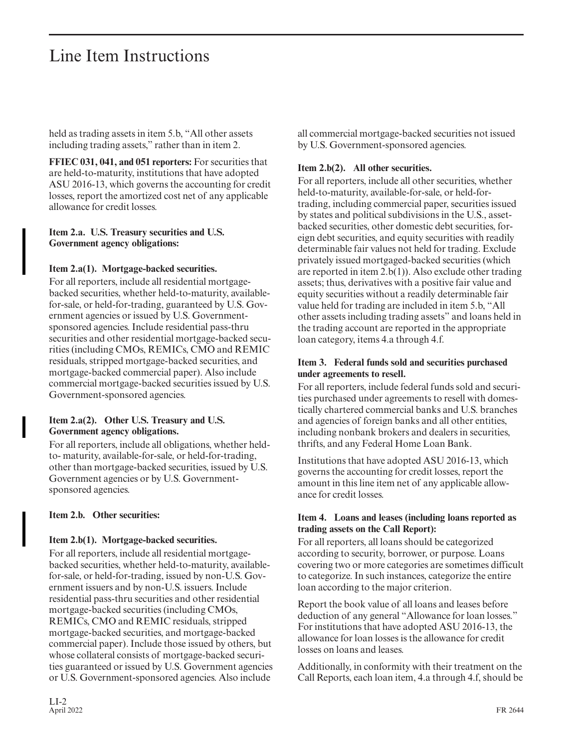held as trading assets in item 5.b, "All other assets including trading assets," rather than in item 2.

**FFIEC 031, 041, and 051 reporters:** For securities that are held-to-maturity, institutions that have adopted ASU 2016-13, which governs the accounting for credit losses, report the amortized cost net of any applicable allowance for credit losses.

#### **Item 2.a. U.S. Treasury securities and U.S. Government agency obligations:**

#### **Item 2.a(1). Mortgage-backed securities.**

For all reporters, include all residential mortgagebacked securities, whether held-to-maturity, availablefor-sale, or held-for-trading, guaranteed by U.S. Government agencies or issued by U.S. Governmentsponsored agencies. Include residential pass-thru securities and other residential mortgage-backed securities (including CMOs, REMICs, CMO and REMIC residuals, stripped mortgage-backed securities, and mortgage-backed commercial paper). Also include commercial mortgage-backed securities issued by U.S. Government-sponsored agencies.

#### **Item 2.a(2). Other U.S. Treasury and U.S. Government agency obligations.**

For all reporters, include all obligations, whether heldto- maturity, available-for-sale, or held-for-trading, other than mortgage-backed securities, issued by U.S. Government agencies or by U.S. Governmentsponsored agencies.

#### **Item 2.b. Other securities:**

#### **Item 2.b(1). Mortgage-backed securities.**

For all reporters, include all residential mortgagebacked securities, whether held-to-maturity, availablefor-sale, or held-for-trading, issued by non-U.S. Government issuers and by non-U.S. issuers. Include residential pass-thru securities and other residential mortgage-backed securities (including CMOs, REMICs, CMO and REMIC residuals, stripped mortgage-backed securities, and mortgage-backed commercial paper). Include those issued by others, but whose collateral consists of mortgage-backed securities guaranteed or issued by U.S. Government agencies or U.S. Government-sponsored agencies. Also include

all commercial mortgage-backed securities not issued by U.S. Government-sponsored agencies.

#### **Item 2.b(2). All other securities.**

For all reporters, include all other securities, whether held-to-maturity, available-for-sale, or held-fortrading, including commercial paper, securities issued by states and political subdivisions in the U.S., assetbacked securities, other domestic debt securities, for eign debt securities, and equity securities with readily determinable fair values not held for trading. Exclude privately issued mortgaged-backed securities (which are reported in item 2.b(1)). Also exclude other trading assets; thus, derivatives with a positive fair value and equity securities without a readily determinable fair value held for trading are included in item 5.b, "All other assets including trading assets" and loans held in the trading account are reported in the appropriate loan category, items 4.a through 4.f.

#### **Item 3. Federal funds sold and securities purchased under agreements to resell.**

For all reporters, include federal funds sold and securities purchased under agreements to resell with domestically chartered commercial banks and U.S. branches and agencies of foreign banks and all other entities, including nonbank brokers and dealers in securities, thrifts, and any Federal Home Loan Bank.

Institutions that have adopted ASU 2016-13, which governs the accounting for credit losses, report the amount in this line item net of any applicable allowance for credit losses.

#### **Item 4. Loans and leases (including loans reported as trading assets on the Call Report):**

For all reporters, all loans should be categorized according to security, borrower, or purpose. Loans covering two or more categories are sometimes difficult to categorize. In such instances, categorize the entire loan according to the major criterion.

Report the book value of all loans and leases before deduction of any general "Allowance for loan losses." For institutions that have adopted ASU 2016-13, the allowance for loan losses is the allowance for credit losses on loans and leases.

Additionally, in conformity with their treatment on the Call Reports, each loan item, 4.a through 4.f, should be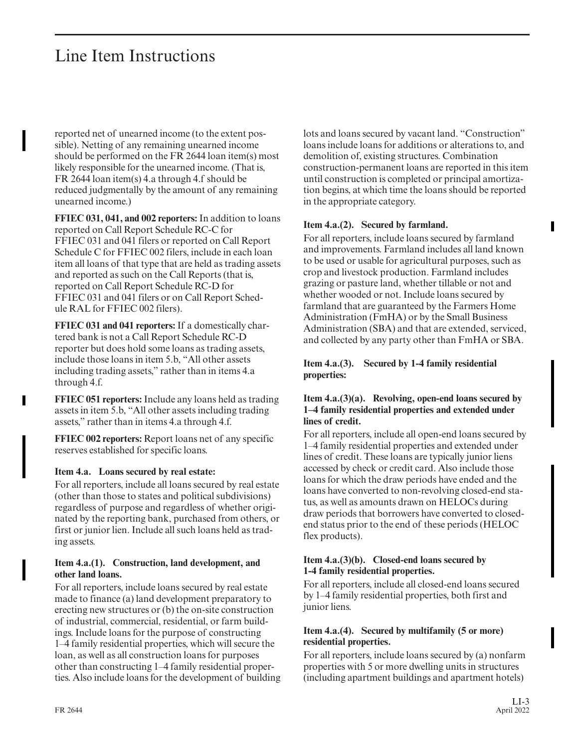reported net of unearned income (to the extent possible). Netting of any remaining unearned income should be performed on the FR 2644 loan item(s) most likely responsible for the unearned income. (That is, FR 2644 loan item(s) 4.a through 4.f should be reduced judgmentally by the amount of any remaining unearned income.)

**FFIEC 031, 041, and 002 reporters:** In addition to loans reported on Call Report Schedule RC-C for FFIEC 031 and 041 filers or reported on Call Report Schedule C for FFIEC 002 filers, include in each loan item all loans of that type that are held as trading assets and reported as such on the Call Reports (that is, reported on Call Report Schedule RC-D for FFIEC 031 and 041 filers or on Call Report Schedule RAL for FFIEC 002 filers).

**FFIEC 031 and 041 reporters:** If a domestically chartered bank is not a Call Report Schedule RC-D reporter but does hold some loans as trading assets, include those loans in item 5.b, "All other assets including trading assets," rather than in items 4.a through 4.f.

**FFIEC 051 reporters:** Include any loans held as trading assets in item 5.b, "All other assets including trading assets," rather than in items 4.a through 4.f.

**FFIEC 002 reporters:** Report loans net of any specific reserves established for specific loans.

#### **Item 4.a. Loans secured by real estate:**

For all reporters, include all loans secured by real estate (other than those to states and political subdivisions) regardless of purpose and regardless of whether originated by the reporting bank, purchased from others, or first or junior lien. Include all such loans held as trading assets.

#### **Item 4.a.(1). Construction, land development, and other land loans.**

For all reporters, include loans secured by real estate made to finance (a) land development preparatory to erecting new structures or (b) the on-site construction of industrial, commercial, residential, or farm buildings. Include loans for the purpose of constructing 1–4 family residential properties, which will secure the loan, as well as all construction loans for purposes other than constructing 1–4 family residential properties. Also include loans for the development of building lots and loans secured by vacant land. "Construction" loans include loans for additions or alterations to, and demolition of, existing structures. Combination construction-permanent loans are reported in this item until construction is completed or principal amortization begins, at which time the loans should be reported in the appropriate category.

#### **Item 4.a.(2). Secured by farmland.**

For all reporters, include loans secured by farmland and improvements. Farmland includes all land known to be used or usable for agricultural purposes, such as crop and livestock production. Farmland includes grazing or pasture land, whether tillable or not and whether wooded or not. Include loans secured by farmland that are guaranteed by the Farmers Home Administration (FmHA) or by the Small Business Administration (SBA) and that are extended, serviced, and collected by any party other than FmHA or SBA.

#### **Item 4.a.(3). Secured by 1-4 family residential properties:**

#### **Item 4.a.(3)(a). Revolving, open-end loans secured by 1–4 family residential properties and extended under lines of credit.**

For all reporters, include all open-end loans secured by 1–4 family residential properties and extended under lines of credit. These loans are typically junior liens accessed by check or credit card. Also include those loans for which the draw periods have ended and the loans have converted to non-revolving closed-end status, as well as amounts drawn on HELOCs during draw periods that borrowers have converted to closedend status prior to the end of these periods (HELOC flex products).

#### **Item 4.a.(3)(b). Closed-end loans secured by 1-4 family residential properties.**

For all reporters, include all closed-end loans secured by 1–4 family residential properties, both first and junior liens.

#### **Item 4.a.(4). Secured by multifamily (5 or more) residential properties.**

For all reporters, include loans secured by (a) nonfarm properties with 5 or more dwelling units in structures (including apartment buildings and apartment hotels)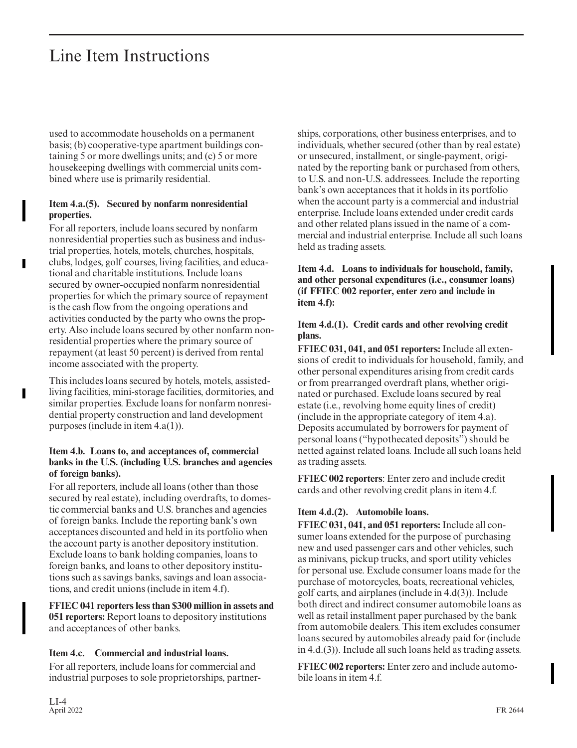used to accommodate households on a permanent basis; (b) cooperative-type apartment buildings containing 5 or more dwellings units; and (c) 5 or more housekeeping dwellings with commercial units combined where use is primarily residential.

#### **Item 4.a.(5). Secured by nonfarm nonresidential properties.**

For all reporters, include loans secured by nonfarm nonresidential properties such as business and industrial properties, hotels, motels, churches, hospitals, clubs, lodges, golf courses, living facilities, and educational and charitable institutions. Include loans secured by owner-occupied nonfarm nonresidential properties for which the primary source of repayment is the cash flow from the ongoing operations and activities conducted by the party who owns the property. Also include loans secured by other nonfarm nonresidential properties where the primary source of repayment (at least 50 percent) is derived from rental income associated with the property.

This includes loans secured by hotels, motels, assistedliving facilities, mini-storage facilities, dormitories, and similar properties. Exclude loans for nonfarm nonresidential property construction and land development purposes (include in item 4.a(1)).

#### **Item 4.b. Loans to, and acceptances of, commercial banks in the U.S. (including U.S. branches and agencies of foreign banks).**

For all reporters, include all loans (other than those secured by real estate), including overdrafts, to domestic commercial banks and U.S. branches and agencies of foreign banks. Include the reporting bank's own acceptances discounted and held in its portfolio when the account party is another depository institution. Exclude loans to bank holding companies, loans to foreign banks, and loans to other depository institutions such as savings banks, savings and loan associations, and credit unions (include in item 4.f).

**FFIEC 041 reporters less than \$300 million in assets and 051 reporters:** Report loans to depository institutions and acceptances of other banks.

#### **Item 4.c. Commercial and industrial loans.**

For all reporters, include loans for commercial and industrial purposes to sole proprietorships, partner-

LI-4<br>April 2022 April 2022 FR 2644

ships, corporations, other business enterprises, and to individuals, whether secured (other than by real estate) or unsecured, installment, or single-payment, originated by the reporting bank or purchased from others, to U.S. and non-U.S. addressees. Include the reporting bank's own acceptances that it holds in its portfolio when the account party is a commercial and industrial enterprise. Include loans extended under credit cards and other related plans issued in the name of a commercial and industrial enterprise. Include all such loans held as trading assets.

**Item 4.d. Loans to individuals for household, family, and other personal expenditures (i.e., consumer loans) (if FFIEC 002 reporter, enter zero and include in item 4.f):**

#### **Item 4.d.(1). Credit cards and other revolving credit plans.**

**FFIEC 031, 041, and 051 reporters:** Include all extensions of credit to individuals for household, family, and other personal expenditures arising from credit cards or from prearranged overdraft plans, whether originated or purchased. Exclude loans secured by real estate (i.e., revolving home equity lines of credit) (include in the appropriate category of item 4.a). Deposits accumulated by borrowers for payment of personal loans ("hypothecated deposits") should be netted against related loans. Include all such loans held as trading assets.

**FFIEC 002 reporters**: Enter zero and include credit cards and other revolving credit plans in item 4.f.

#### **Item 4.d.(2). Automobile loans.**

**FFIEC 031, 041, and 051 reporters:** Include all consumer loans extended for the purpose of purchasing new and used passenger cars and other vehicles, such as minivans, pickup trucks, and sport utility vehicles for personal use. Exclude consumer loans made for the purchase of motorcycles, boats, recreational vehicles, golf carts, and airplanes (include in 4.d(3)). Include both direct and indirect consumer automobile loans as well as retail installment paper purchased by the bank from automobile dealers. This item excludes consumer loans secured by automobiles already paid for (include in 4.d.(3)). Include all such loans held as trading assets.

**FFIEC 002 reporters:** Enter zero and include automobile loans in item 4.f.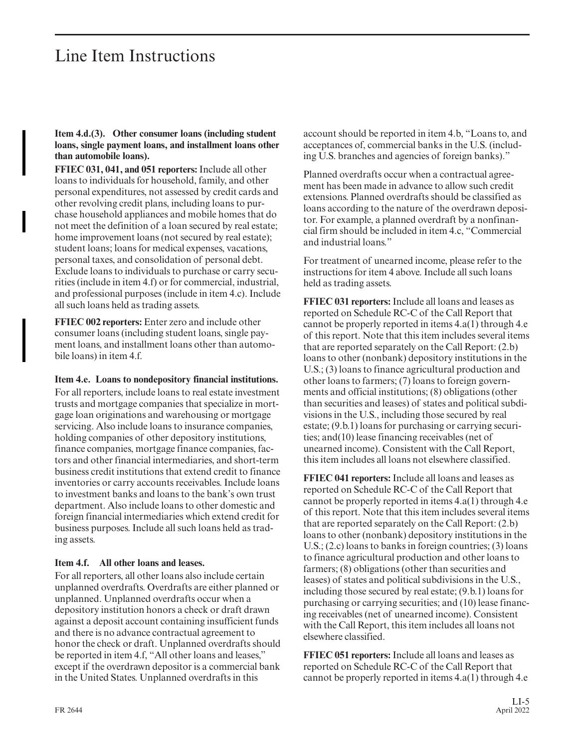#### **Item 4.d.(3). Other consumer loans (including student loans, single payment loans, and installment loans other than automobile loans).**

**FFIEC 031, 041, and 051 reporters:** Include all other loans to individuals for household, family, and other personal expenditures, not assessed by credit cards and other revolving credit plans, including loans to pur chase household appliances and mobile homes that do not meet the definition of a loan secured by real estate; home improvement loans (not secured by real estate); student loans; loans for medical expenses, vacations, personal taxes, and consolidation of personal debt. Exclude loans to individuals to purchase or carry securities (include in item 4.f) or for commercial, industrial, and professional purposes (include in item 4.c). Include all such loans held as trading assets.

**FFIEC 002 reporters:** Enter zero and include other consumer loans (including student loans, single payment loans, and installment loans other than automobile loans) in item 4.f.

**Item 4.e. Loans to nondepository financial institutions.** For all reporters, include loans to real estate investment trusts and mortgage companies that specialize in mortgage loan originations and warehousing or mortgage servicing. Also include loans to insurance companies, holding companies of other depository institutions, finance companies, mortgage finance companies, factors and other financial intermediaries, and short-term business credit institutions that extend credit to finance inventories or carry accounts receivables. Include loans to investment banks and loans to the bank's own trust department. Also include loans to other domestic and foreign financial intermediaries which extend credit for business purposes. Include all such loans held as trading assets.

#### **Item 4.f. All other loans and leases.**

For all reporters, all other loans also include certain unplanned overdrafts. Overdrafts are either planned or unplanned. Unplanned overdrafts occur when a depository institution honors a check or draft drawn against a deposit account containing insufficient funds and there is no advance contractual agreement to honor the check or draft. Unplanned overdrafts should be reported in item 4.f, "All other loans and leases," except if the overdrawn depositor is a commercial bank in the United States. Unplanned overdrafts in this

account should be reported in item 4.b, "Loans to, and acceptances of, commercial banks in the U.S. (including U.S. branches and agencies of foreign banks)."

Planned overdrafts occur when a contractual agreement has been made in advance to allow such credit extensions. Planned overdrafts should be classified as loans according to the nature of the overdrawn depositor. For example, a planned overdraft by a nonfinancial firm should be included in item 4.c, "Commercial and industrial loans."

For treatment of unearned income, please refer to the instructions for item 4 above. Include all such loans held as trading assets.

**FFIEC 031 reporters:** Include all loans and leases as reported on Schedule RC-C of the Call Report that cannot be properly reported in items 4.a(1) through 4.e of this report. Note that this item includes several items that are reported separately on the Call Report: (2.b) loans to other (nonbank) depository institutions in the U.S.; (3) loans to finance agricultural production and other loans to farmers; (7) loans to foreign governments and official institutions; (8) obligations (other than securities and leases) of states and political subdivisions in the U.S., including those secured by real estate; (9.b.1) loans for purchasing or carrying securities; and(10) lease financing receivables (net of unearned income). Consistent with the Call Report, this item includes all loans not elsewhere classified.

**FFIEC 041 reporters:** Include all loans and leases as reported on Schedule RC-C of the Call Report that cannot be properly reported in items 4.a(1) through 4.e of this report. Note that this item includes several items that are reported separately on the Call Report: (2.b) loans to other (nonbank) depository institutions in the U.S.; (2.c) loans to banks in foreign countries; (3) loans to finance agricultural production and other loans to farmers; (8) obligations (other than securities and leases) of states and political subdivisions in the U.S., including those secured by real estate; (9.b.1) loans for purchasing or carrying securities; and (10) lease financing receivables (net of unearned income). Consistent with the Call Report, this item includes all loans not elsewhere classified.

**FFIEC 051 reporters:** Include all loans and leases as reported on Schedule RC-C of the Call Report that cannot be properly reported in items 4.a(1) through 4.e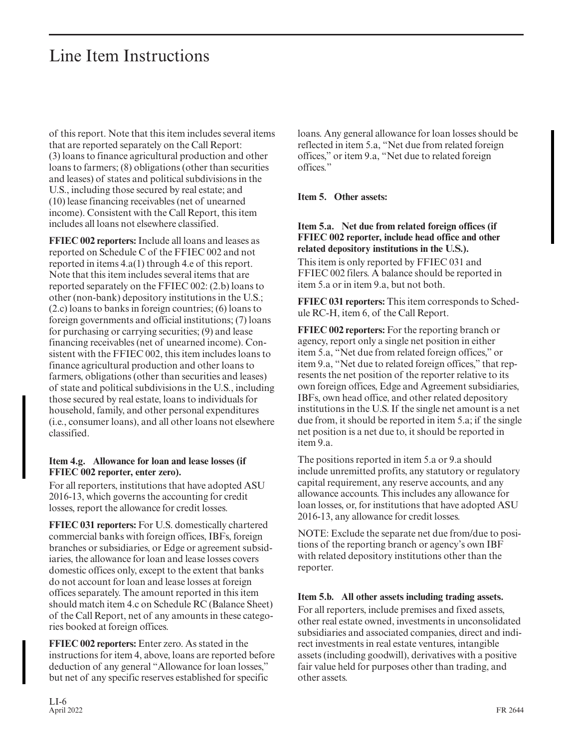of this report. Note that this item includes several items that are reported separately on the Call Report: (3) loans to finance agricultural production and other loans to farmers; (8) obligations (other than securities and leases) of states and political subdivisions in the U.S., including those secured by real estate; and (10) lease financing receivables (net of unearned income). Consistent with the Call Report, this item includes all loans not elsewhere classified.

**FFIEC 002 reporters:** Include all loans and leases as reported on Schedule C of the FFIEC 002 and not reported in items 4.a(1) through 4.e of this report. Note that this item includes several items that are reported separately on the FFIEC 002: (2.b) loans to other (non-bank) depository institutions in the U.S.; (2.c) loans to banks in foreign countries; (6) loans to foreign governments and official institutions; (7) loans for purchasing or carrying securities; (9) and lease financing receivables (net of unearned income). Consistent with the FFIEC 002, this item includes loans to finance agricultural production and other loans to farmers, obligations (other than securities and leases) of state and political subdivisions in the U.S., including those secured by real estate, loans to individuals for household, family, and other personal expenditures (i.e., consumer loans), and all other loans not elsewhere classified.

#### **Item 4.g. Allowance for loan and lease losses (if FFIEC 002 reporter, enter zero).**

For all reporters, institutions that have adopted ASU 2016-13, which governs the accounting for credit losses, report the allowance for credit losses.

**FFIEC 031 reporters:** For U.S. domestically chartered commercial banks with foreign offices, IBFs, foreign branches or subsidiaries, or Edge or agreement subsidiaries, the allowance for loan and lease losses covers domestic offices only, except to the extent that banks do not account for loan and lease losses at foreign offices separately. The amount reported in this item should match item 4.c on Schedule RC (Balance Sheet) of the Call Report, net of any amounts in these categories booked at foreign offices.

**FFIEC 002 reporters:** Enter zero. As stated in the instructions for item 4, above, loans are reported before deduction of any general "Allowance for loan losses," but net of any specific reserves established for specific

loans. Any general allowance for loan losses should be reflected in item 5.a, "Net due from related foreign offices," or item 9.a, "Net due to related foreign offices."

#### **Item 5. Other assets:**

#### **Item 5.a. Net due from related foreign offices (if FFIEC 002 reporter, include head office and other related depository institutions in the U.S.).**

This item is only reported by FFIEC 031 and FFIEC 002 filers. A balance should be reported in item 5.a or in item 9.a, but not both.

**FFIEC 031 reporters:** This item corresponds to Schedule RC-H, item 6, of the Call Report.

**FFIEC 002 reporters:** For the reporting branch or agency, report only a single net position in either item 5.a, "Net due from related foreign offices," or item 9.a, "Net due to related foreign offices," that represents the net position of the reporter relative to its own foreign offices, Edge and Agreement subsidiaries, IBFs, own head office, and other related depository institutions in the U.S. If the single net amount is a net due from, it should be reported in item 5.a; if the single net position is a net due to, it should be reported in item 9.a.

The positions reported in item 5.a or 9.a should include unremitted profits, any statutory or regulatory capital requirement, any reserve accounts, and any allowance accounts. This includes any allowance for loan losses, or, for institutions that have adopted ASU 2016-13, any allowance for credit losses.

NOTE: Exclude the separate net due from/due to positions of the reporting branch or agency's own IBF with related depository institutions other than the reporter.

#### **Item 5.b. All other assets including trading assets.**

For all reporters, include premises and fixed assets, other real estate owned, investments in unconsolidated subsidiaries and associated companies, direct and indirect investments in real estate ventures, intangible assets (including goodwill), derivatives with a positive fair value held for purposes other than trading, and other assets.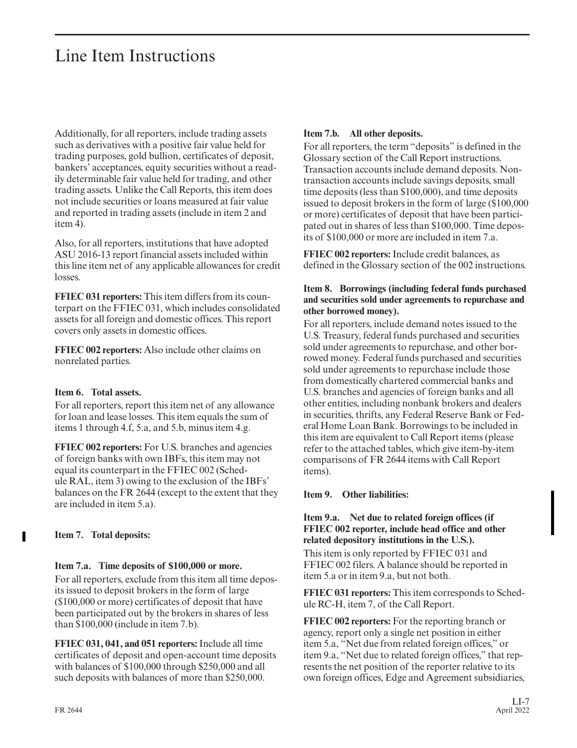Additionally, for all reporters, include trading assets such as derivatives with a positive fair value held for trading purposes, gold bullion, certificates of deposit, bankers' acceptances, equity securities without a readily determinable fair value held for trading, and other trading assets. Unlike the Call Reports, this item does not include securities or loans measured at fair value and reported in trading assets (include in item 2 and item 4).

Also, for all reporters, institutions that have adopted ASU 2016-13 report financial assets included within this line item net of any applicable allowances for credit losses.

**FFIEC 031 reporters:** This item differs from its counterpart on the FFIEC 031, which includes consolidated assets for all foreign and domestic offices. This report covers only assets in domestic offices.

**FFIEC 002 reporters:** Also include other claims on nonrelated parties.

#### **Item 6. Total assets.**

For all reporters, report this item net of any allowance for loan and lease losses. This item equals the sum of items 1 through 4.f, 5.a, and 5.b, minus item 4.g.

**FFIEC 002 reporters:** For U.S. branches and agencies of foreign banks with own IBFs, this item may not equal its counterpart in the FFIEC 002 (Schedule RAL, item 3) owing to the exclusion of the IBFs' balances on the FR 2644 (except to the extent that they are included in item 5.a).

#### **Item 7. Total deposits:**

#### **Item 7.a. Time deposits of \$100,000 or more.**

For all reporters, exclude from this item all time deposits issued to deposit brokers in the form of large (\$100,000 or more) certificates of deposit that have been participated out by the brokers in shares of less than \$100,000 (include in item 7.b).

**FFIEC 031, 041, and 051 reporters:** Include all time certificates of deposit and open-account time deposits with balances of \$100,000 through \$250,000 and all such deposits with balances of more than \$250,000.

#### **Item 7.b. All other deposits.**

For all reporters, the term "deposits" is defined in the Glossary section of the Call Report instructions. Transaction accounts include demand deposits. Nontransaction accounts include savings deposits, small time deposits (less than \$100,000), and time deposits issued to deposit brokers in the form of large (\$100,000 or more) certificates of deposit that have been participated out in shares of less than \$100,000. Time deposits of \$100,000 or more are included in item 7.a.

**FFIEC 002 reporters:** Include credit balances, as defined in the Glossary section of the 002 instructions.

#### **Item 8. Borrowings (including federal funds purchased and securities sold under agreements to repurchase and other borrowed money).**

For all reporters, include demand notes issued to the U.S. Treasury, federal funds purchased and securities sold under agreements to repurchase, and other bor rowed money. Federal funds purchased and securities sold under agreements to repurchase include those from domestically chartered commercial banks and U.S. branches and agencies of foreign banks and all other entities, including nonbank brokers and dealers in securities, thrifts, any Federal Reserve Bank or Federal Home Loan Bank. Borrowings to be included in this item are equivalent to Call Report items (please refer to the attached tables, which give item-by-item comparisons of FR 2644 items with Call Report items).

#### **Item 9. Other liabilities:**

#### **Item 9.a. Net due to related foreign offices (if FFIEC 002 reporter, include head office and other related depository institutions in the U.S.).**

This item is only reported by FFIEC 031 and FFIEC 002 filers. A balance should be reported in item 5.a or in item 9.a, but not both.

**FFIEC 031 reporters:** This item corresponds to Schedule RC-H, item 7, of the Call Report.

**FFIEC 002 reporters:** For the reporting branch or agency, report only a single net position in either item 5.a, "Net due from related foreign offices," or item 9.a, "Net due to related foreign offices," that represents the net position of the reporter relative to its own foreign offices, Edge and Agreement subsidiaries,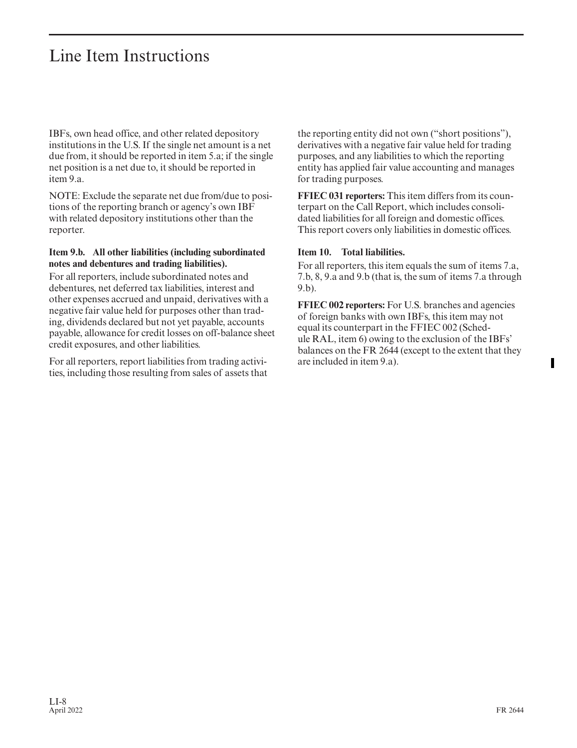IBFs, own head office, and other related depository institutions in the U.S. If the single net amount is a net due from, it should be reported in item 5.a; if the single net position is a net due to, it should be reported in item 9.a.

NOTE: Exclude the separate net due from/due to positions of the reporting branch or agency's own IBF with related depository institutions other than the reporter.

#### **Item 9.b. All other liabilities (including subordinated notes and debentures and trading liabilities).**

For all reporters, include subordinated notes and debentures, net deferred tax liabilities, interest and other expenses accrued and unpaid, derivatives with a negative fair value held for purposes other than trading, dividends declared but not yet payable, accounts payable, allowance for credit losses on off-balance sheet credit exposures, and other liabilities.

For all reporters, report liabilities from trading activities, including those resulting from sales of assets that the reporting entity did not own ("short positions"), derivatives with a negative fair value held for trading purposes, and any liabilities to which the reporting entity has applied fair value accounting and manages for trading purposes.

**FFIEC 031 reporters:** This item differs from its counterpart on the Call Report, which includes consolidated liabilities for all foreign and domestic offices. This report covers only liabilities in domestic offices.

#### **Item 10. Total liabilities.**

For all reporters, this item equals the sum of items 7.a, 7.b, 8, 9.a and 9.b (that is, the sum of items 7.a through 9.b).

**FFIEC 002 reporters:** For U.S. branches and agencies of foreign banks with own IBFs, this item may not equal its counterpart in the FFIEC 002 (Schedule RAL, item 6) owing to the exclusion of the IBFs' balances on the FR 2644 (except to the extent that they are included in item 9.a).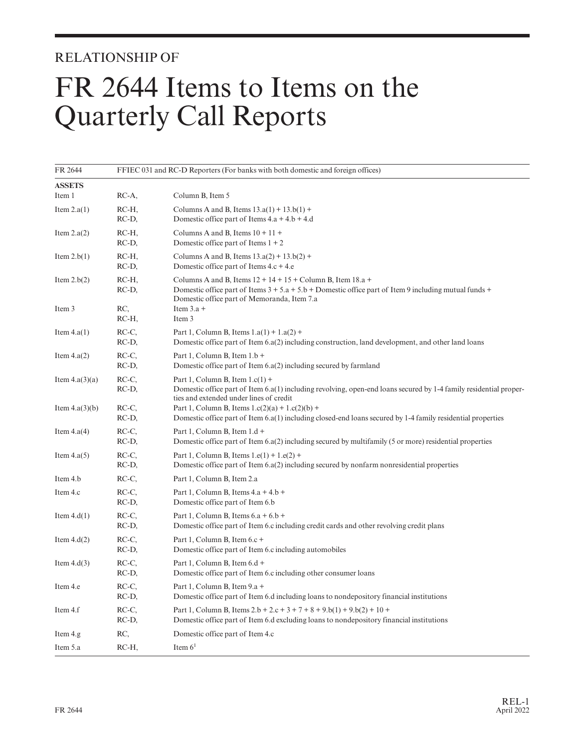### RELATIONSHIP OF

# FR 2644 Items to Items on the Quarterly Call Reports

| FR 2644          | FFIEC 031 and RC-D Reporters (For banks with both domestic and foreign offices) |                                                                                                                                                                                                                         |  |  |
|------------------|---------------------------------------------------------------------------------|-------------------------------------------------------------------------------------------------------------------------------------------------------------------------------------------------------------------------|--|--|
| <b>ASSETS</b>    |                                                                                 |                                                                                                                                                                                                                         |  |  |
| Item 1           | RC-A,                                                                           | Column B, Item 5                                                                                                                                                                                                        |  |  |
| Item $2.a(1)$    | RC-H,<br>RC-D,                                                                  | Columns A and B, Items $13.a(1) + 13.b(1) +$<br>Domestic office part of Items 4.a + 4.b + 4.d                                                                                                                           |  |  |
| Item $2.a(2)$    | RC-H,<br>RC-D,                                                                  | Columns A and B, Items $10 + 11 +$<br>Domestic office part of Items $1 + 2$                                                                                                                                             |  |  |
| Item $2.b(1)$    | RC-H,<br>RC-D,                                                                  | Columns A and B, Items $13.a(2) + 13.b(2) +$<br>Domestic office part of Items $4.c + 4.e$                                                                                                                               |  |  |
| Item $2.b(2)$    | RC-H,<br>RC-D,                                                                  | Columns A and B, Items $12 + 14 + 15 +$ Column B, Item $18.a +$<br>Domestic office part of Items $3 + 5a + 5b +$ Domestic office part of Item 9 including mutual funds +<br>Domestic office part of Memoranda, Item 7.a |  |  |
| Item 3           | RC,<br>RC-H,                                                                    | Item $3.a +$<br>Item 3                                                                                                                                                                                                  |  |  |
| Item $4.a(1)$    | RC-C,<br>RC-D,                                                                  | Part 1, Column B, Items $1.a(1) + 1.a(2) +$<br>Domestic office part of Item $6.a(2)$ including construction, land development, and other land loans                                                                     |  |  |
| Item $4.a(2)$    | RC-C,<br>RC-D,                                                                  | Part 1, Column B, Item 1.b +<br>Domestic office part of Item 6.a(2) including secured by farmland                                                                                                                       |  |  |
| Item $4.a(3)(a)$ | RC-C.<br>RC-D,                                                                  | Part 1, Column B, Item $1.c(1)$ +<br>Domestic office part of Item 6.a(1) including revolving, open-end loans secured by 1-4 family residential proper-<br>ties and extended under lines of credit                       |  |  |
| Item $4.a(3)(b)$ | RC-C,<br>RC-D,                                                                  | Part 1, Column B, Items $1.c(2)(a) + 1.c(2)(b) +$<br>Domestic office part of Item $6.a(1)$ including closed-end loans secured by 1-4 family residential properties                                                      |  |  |
| Item $4.a(4)$    | RC-C,<br>RC-D,                                                                  | Part 1, Column B, Item 1.d +<br>Domestic office part of Item 6.a(2) including secured by multifamily (5 or more) residential properties                                                                                 |  |  |
| Item $4.a(5)$    | RC-C,<br>RC-D,                                                                  | Part 1, Column B, Items $1.e(1) + 1.e(2) +$<br>Domestic office part of Item 6.a(2) including secured by nonfarm nonresidential properties                                                                               |  |  |
| Item 4.b         | RC-C,                                                                           | Part 1, Column B, Item 2.a                                                                                                                                                                                              |  |  |
| Item 4.c         | RC-C,<br>RC-D,                                                                  | Part 1, Column B, Items $4.a + 4.b +$<br>Domestic office part of Item 6.b                                                                                                                                               |  |  |
| Item $4.d(1)$    | RC-C,<br>RC-D,                                                                  | Part 1, Column B, Items $6.a + 6.b +$<br>Domestic office part of Item 6.c including credit cards and other revolving credit plans                                                                                       |  |  |
| Item $4.d(2)$    | RC-C,<br>RC-D,                                                                  | Part 1, Column B, Item 6.c +<br>Domestic office part of Item 6.c including automobiles                                                                                                                                  |  |  |
| Item $4.d(3)$    | RC-C,<br>RC-D,                                                                  | Part 1, Column B, Item 6.d +<br>Domestic office part of Item 6.c including other consumer loans                                                                                                                         |  |  |
| Item 4.e         | RC-C,<br>RC-D,                                                                  | Part 1, Column B, Item 9.a +<br>Domestic office part of Item 6.d including loans to nondepository financial institutions                                                                                                |  |  |
| Item 4.f         | RC-C.<br>RC-D,                                                                  | Part 1, Column B, Items $2.b + 2.c + 3 + 7 + 8 + 9.b(1) + 9.b(2) + 10 +$<br>Domestic office part of Item 6.d excluding loans to nondepository financial institutions                                                    |  |  |
| Item 4.g         | RC,                                                                             | Domestic office part of Item 4.c                                                                                                                                                                                        |  |  |
| Item 5.a         | RC-H,                                                                           | Item $61$                                                                                                                                                                                                               |  |  |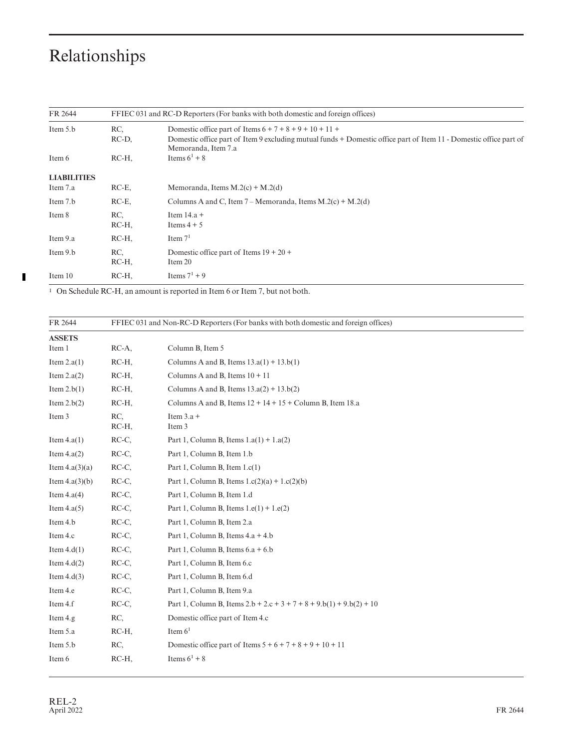$\blacksquare$ 

| FR 2644            |          | FFIEC 031 and RC-D Reporters (For banks with both domestic and foreign offices)                                                          |
|--------------------|----------|------------------------------------------------------------------------------------------------------------------------------------------|
| Item 5.b           | RC.      | Domestic office part of Items $6 + 7 + 8 + 9 + 10 + 11 +$                                                                                |
|                    | RC-D,    | Domestic office part of Item 9 excluding mutual funds + Domestic office part of Item 11 - Domestic office part of<br>Memoranda, Item 7.a |
| Item 6             | $RC-H$   | Items $6^1 + 8$                                                                                                                          |
| <b>LIABILITIES</b> |          |                                                                                                                                          |
| Item 7.a           | $RC-E$ , | Memoranda, Items $M.2(c) + M.2(d)$                                                                                                       |
| Item 7.b           | $RC-E$ , | Columns A and C, Item $7 - \text{Memoranda}$ , Items M.2(c) + M.2(d)                                                                     |
| Item 8             | RC.      | Item $14.a +$                                                                                                                            |
|                    | $RC-H$   | Items $4 + 5$                                                                                                                            |
| Item 9.a           | $RC-H$   | Item $71$                                                                                                                                |
| Item 9.b           | RC.      | Domestic office part of Items $19 + 20 +$                                                                                                |
|                    | $RC-H$   | Item 20                                                                                                                                  |
| Item 10            | RC-H,    | Items $7^1 + 9$                                                                                                                          |

1 On Schedule RC-H, an amount is reported in Item 6 or Item 7, but not both.

| FR 2644          | FFIEC 031 and Non-RC-D Reporters (For banks with both domestic and foreign offices) |                                                                        |
|------------------|-------------------------------------------------------------------------------------|------------------------------------------------------------------------|
| <b>ASSETS</b>    |                                                                                     |                                                                        |
| Item 1           | $RC-A$ ,                                                                            | Column B, Item 5                                                       |
| Item $2.a(1)$    | RC-H,                                                                               | Columns A and B, Items $13.a(1) + 13.b(1)$                             |
| Item $2.a(2)$    | RC-H,                                                                               | Columns A and B, Items $10 + 11$                                       |
| Item $2.b(1)$    | RC-H,                                                                               | Columns A and B, Items $13.a(2) + 13.b(2)$                             |
| Item $2.b(2)$    | $RC-H$                                                                              | Columns A and B, Items $12 + 14 + 15 +$ Column B, Item 18.a            |
| Item 3           | RC,<br>RC-H,                                                                        | Item $3.a +$<br>Item 3                                                 |
| Item $4.a(1)$    | RC-C,                                                                               | Part 1, Column B, Items $1.a(1) + 1.a(2)$                              |
| Item $4.a(2)$    | RC-C,                                                                               | Part 1, Column B, Item 1.b                                             |
| Item $4.a(3)(a)$ | RC-C,                                                                               | Part 1, Column B, Item $1.c(1)$                                        |
| Item $4.a(3)(b)$ | RC-C,                                                                               | Part 1, Column B, Items $1.c(2)(a) + 1.c(2)(b)$                        |
| Item $4.a(4)$    | RC-C,                                                                               | Part 1, Column B, Item 1.d                                             |
| Item $4.a(5)$    | RC-C,                                                                               | Part 1, Column B, Items $1.e(1) + 1.e(2)$                              |
| Item 4.b         | RC-C,                                                                               | Part 1, Column B, Item 2.a                                             |
| Item 4.c         | RC-C,                                                                               | Part 1, Column B, Items 4.a + 4.b                                      |
| Item $4.d(1)$    | RC-C,                                                                               | Part 1, Column B, Items $6.a + 6.b$                                    |
| Item $4.d(2)$    | RC-C,                                                                               | Part 1, Column B, Item 6.c                                             |
| Item $4.d(3)$    | RC-C,                                                                               | Part 1, Column B, Item 6.d                                             |
| Item 4.e         | RC-C,                                                                               | Part 1, Column B, Item 9.a                                             |
| Item 4.f         | RC-C,                                                                               | Part 1, Column B, Items $2.b + 2.c + 3 + 7 + 8 + 9.b(1) + 9.b(2) + 10$ |
| Item 4.g         | RC,                                                                                 | Domestic office part of Item 4.c                                       |
| Item 5.a         | RC-H,                                                                               | Item $61$                                                              |
| Item 5.b         | RC,                                                                                 | Domestic office part of Items $5 + 6 + 7 + 8 + 9 + 10 + 11$            |
| Item 6           | RC-H,                                                                               | Items $6^1 + 8$                                                        |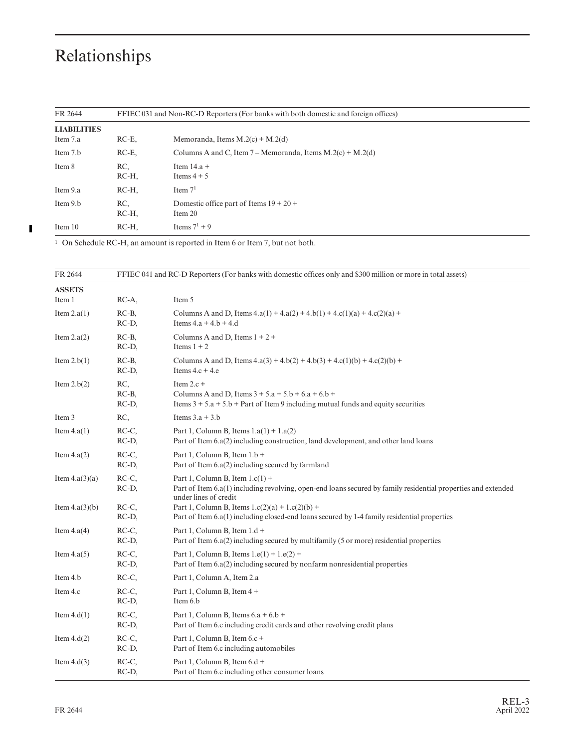| FR 2644            | FFIEC 031 and Non-RC-D Reporters (For banks with both domestic and foreign offices) |                                                                      |
|--------------------|-------------------------------------------------------------------------------------|----------------------------------------------------------------------|
| <b>LIABILITIES</b> |                                                                                     |                                                                      |
| Item 7.a           | $RC-E$ ,                                                                            | Memoranda, Items $M(2(c) + M(2(d)))$                                 |
| Item 7.b           | $RC-E$ ,                                                                            | Columns A and C, Item $7 - \text{Memoranda}$ , Items M.2(c) + M.2(d) |
| Item 8             | RC.<br>$RC-H$                                                                       | Item $14.a +$<br>Items $4 + 5$                                       |
| Item 9.a           | RC-H,                                                                               | Item $71$                                                            |
| Item 9.b           | RC.<br>$RC-H$                                                                       | Domestic office part of Items $19 + 20 +$<br>Item 20                 |
| Item 10            | $RC-H$                                                                              | Items $7^1 + 9$                                                      |

1 On Schedule RC-H, an amount is reported in Item 6 or Item 7, but not both.

| FR 2644          | FFIEC 041 and RC-D Reporters (For banks with domestic offices only and \$300 million or more in total assets) |                                                                                                                                                                             |  |  |
|------------------|---------------------------------------------------------------------------------------------------------------|-----------------------------------------------------------------------------------------------------------------------------------------------------------------------------|--|--|
| <b>ASSETS</b>    |                                                                                                               |                                                                                                                                                                             |  |  |
| Item 1           | $RC-A$ ,                                                                                                      | Item 5                                                                                                                                                                      |  |  |
| Item $2.a(1)$    | $RC-B$ ,<br>RC-D,                                                                                             | Columns A and D, Items $4.a(1) + 4.a(2) + 4.b(1) + 4.c(1)(a) + 4.c(2)(a) +$<br>Items $4.a + 4.b + 4.d$                                                                      |  |  |
| Item $2.a(2)$    | $RC-B$<br>RC-D,                                                                                               | Columns A and D, Items $1 + 2 +$<br>Items $1 + 2$                                                                                                                           |  |  |
| Item $2.b(1)$    | $RC-B$ ,<br>RC-D,                                                                                             | Columns A and D, Items $4.a(3) + 4.b(2) + 4.b(3) + 4.c(1)(b) + 4.c(2)(b) +$<br>Items $4.c + 4.e$                                                                            |  |  |
| Item $2.b(2)$    | RC,<br>$RC-B$<br>RC-D,                                                                                        | Item $2.c +$<br>Columns A and D, Items $3 + 5.a + 5.b + 6.a + 6.b +$<br>Items $3 + 5a + 5b + Part$ of Item 9 including mutual funds and equity securities                   |  |  |
| Item 3           | RC,                                                                                                           | Items $3.a + 3.b$                                                                                                                                                           |  |  |
| Item $4.a(1)$    | RC-C.<br>RC-D,                                                                                                | Part 1, Column B, Items $1.a(1) + 1.a(2)$<br>Part of Item $6.a(2)$ including construction, land development, and other land loans                                           |  |  |
| Item $4.a(2)$    | RC-C,<br>RC-D,                                                                                                | Part 1, Column B, Item $1.b +$<br>Part of Item 6.a(2) including secured by farmland                                                                                         |  |  |
| Item $4.a(3)(a)$ | RC-C,<br>RC-D,                                                                                                | Part 1, Column B, Item $1.c(1)$ +<br>Part of Item 6.a(1) including revolving, open-end loans secured by family residential properties and extended<br>under lines of credit |  |  |
| Item $4.a(3)(b)$ | RC-C,<br>RC-D,                                                                                                | Part 1, Column B, Items $1.c(2)(a) + 1.c(2)(b) +$<br>Part of Item 6.a(1) including closed-end loans secured by 1-4 family residential properties                            |  |  |
| Item $4.a(4)$    | RC-C,<br>RC-D,                                                                                                | Part 1, Column B, Item 1.d +<br>Part of Item 6.a(2) including secured by multifamily (5 or more) residential properties                                                     |  |  |
| Item $4.a(5)$    | RC-C,<br>RC-D,                                                                                                | Part 1, Column B, Items $1.e(1) + 1.e(2) +$<br>Part of Item 6.a(2) including secured by nonfarm nonresidential properties                                                   |  |  |
| Item 4.b         | RC-C,                                                                                                         | Part 1, Column A, Item 2.a                                                                                                                                                  |  |  |
| Item 4.c         | RC-C,<br>RC-D,                                                                                                | Part 1, Column B, Item 4 +<br>Item 6.b                                                                                                                                      |  |  |
| Item $4.d(1)$    | RC-C.<br>RC-D,                                                                                                | Part 1, Column B, Items $6.a + 6.b +$<br>Part of Item 6.c including credit cards and other revolving credit plans                                                           |  |  |
| Item $4.d(2)$    | RC-C.<br>$RC-D$ ,                                                                                             | Part 1, Column B, Item 6.c +<br>Part of Item 6.c including automobiles                                                                                                      |  |  |
| Item $4.d(3)$    | RC-C,<br>RC-D,                                                                                                | Part 1, Column B, Item 6.d +<br>Part of Item 6.c including other consumer loans                                                                                             |  |  |

 $\overline{\phantom{0}}$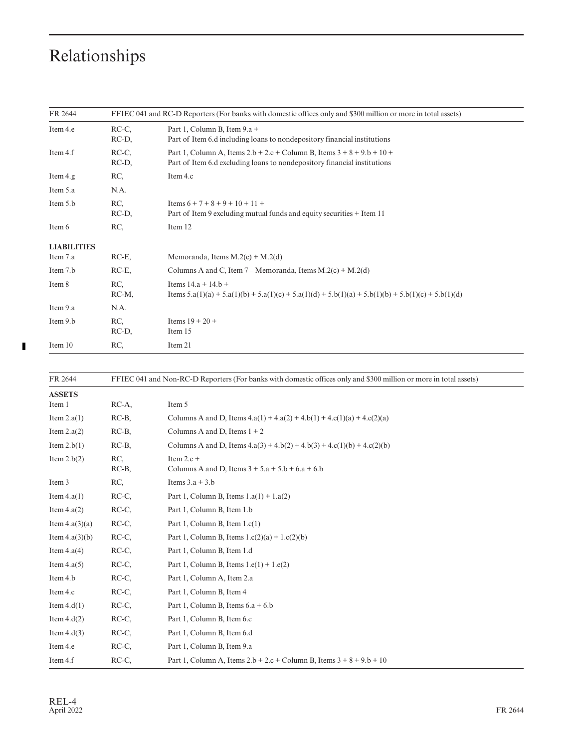| FR 2644            |                | FFIEC 041 and RC-D Reporters (For banks with domestic offices only and \$300 million or more in total assets)                                           |
|--------------------|----------------|---------------------------------------------------------------------------------------------------------------------------------------------------------|
| Item 4.e           | RC-C.<br>RC-D, | Part 1, Column B, Item 9.a +<br>Part of Item 6.d including loans to nondepository financial institutions                                                |
| Item 4.f           | RC-C.<br>RC-D, | Part 1, Column A, Items $2.b + 2.c + Column B$ , Items $3 + 8 + 9.b + 10 +$<br>Part of Item 6.d excluding loans to nondepository financial institutions |
| Item 4.g           | RC,            | Item 4.c                                                                                                                                                |
| Item 5.a           | N.A.           |                                                                                                                                                         |
| Item 5.b           | RC,<br>RC-D,   | Items $6 + 7 + 8 + 9 + 10 + 11 +$<br>Part of Item 9 excluding mutual funds and equity securities + Item 11                                              |
| Item 6             | RC,            | Item 12                                                                                                                                                 |
| <b>LIABILITIES</b> |                |                                                                                                                                                         |
| Item 7.a           | $RC-E$ ,       | Memoranda, Items $M(2(c) + M(2(d)))$                                                                                                                    |
| Item 7.b           | $RC-E$ ,       | Columns A and C, Item $7 - \text{Memoranda}$ , Items M.2(c) + M.2(d)                                                                                    |
| Item 8             | RC,<br>RC-M,   | Items $14.a + 14.b +$<br>Items $5.a(1)(a) + 5.a(1)(b) + 5.a(1)(c) + 5.a(1)(d) + 5.b(1)(a) + 5.b(1)(b) + 5.b(1)(c) + 5.b(1)(d)$                          |
| Item 9.a           | N.A.           |                                                                                                                                                         |
| Item 9.b           | RC,<br>RC-D,   | Items $19 + 20 +$<br>Item 15                                                                                                                            |
| Item 10            | RC,            | Item 21                                                                                                                                                 |

| FR 2644          |               | FFIEC 041 and Non-RC-D Reporters (For banks with domestic offices only and \$300 million or more in total assets) |
|------------------|---------------|-------------------------------------------------------------------------------------------------------------------|
| <b>ASSETS</b>    |               |                                                                                                                   |
| Item 1           | $RC-A$ ,      | Item 5                                                                                                            |
| Item $2.a(1)$    | $RC-B$ ,      | Columns A and D, Items $4.a(1) + 4.a(2) + 4.b(1) + 4.c(1)(a) + 4.c(2)(a)$                                         |
| Item $2.a(2)$    | $RC-B$        | Columns A and D, Items $1 + 2$                                                                                    |
| Item $2.b(1)$    | $RC-B$        | Columns A and D, Items $4.a(3) + 4.b(2) + 4.b(3) + 4.c(1)(b) + 4.c(2)(b)$                                         |
| Item $2.b(2)$    | RC,<br>$RC-B$ | Item $2.c +$<br>Columns A and D, Items $3 + 5.a + 5.b + 6.a + 6.b$                                                |
| Item 3           | RC,           | Items $3.a + 3.b$                                                                                                 |
| Item $4.a(1)$    | RC-C.         | Part 1, Column B, Items $1.a(1) + 1.a(2)$                                                                         |
| Item $4.a(2)$    | RC-C,         | Part 1, Column B, Item 1.b                                                                                        |
| Item $4.a(3)(a)$ | RC-C,         | Part 1, Column B, Item $1.c(1)$                                                                                   |
| Item $4.a(3)(b)$ | RC-C.         | Part 1, Column B, Items $1.c(2)(a) + 1.c(2)(b)$                                                                   |
| Item $4.a(4)$    | RC-C,         | Part 1, Column B, Item 1.d                                                                                        |
| Item $4.a(5)$    | RC-C,         | Part 1, Column B, Items $1.e(1) + 1.e(2)$                                                                         |
| Item 4.b         | RC-C,         | Part 1, Column A, Item 2.a                                                                                        |
| Item 4.c         | RC-C.         | Part 1, Column B, Item 4                                                                                          |
| Item $4.d(1)$    | RC-C,         | Part 1, Column B, Items $6.a + 6.b$                                                                               |
| Item $4.d(2)$    | RC-C,         | Part 1, Column B, Item 6.c                                                                                        |
| Item $4.d(3)$    | RC-C,         | Part 1, Column B, Item 6.d                                                                                        |
| Item 4.e         | RC-C.         | Part 1, Column B, Item 9.a                                                                                        |
| Item 4.f         | RC-C,         | Part 1, Column A, Items $2.b + 2.c + Column B$ , Items $3 + 8 + 9.b + 10$                                         |

 $\blacksquare$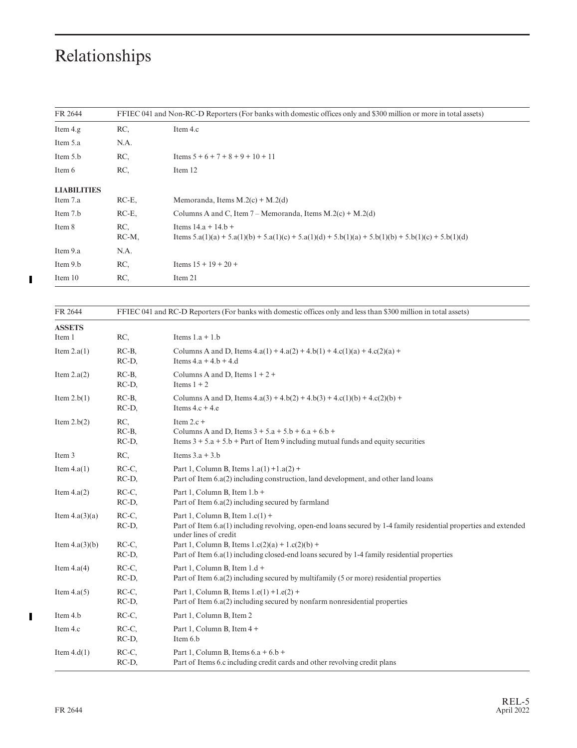| FR 2644            |                 | FFIEC 041 and Non-RC-D Reporters (For banks with domestic offices only and \$300 million or more in total assets)            |
|--------------------|-----------------|------------------------------------------------------------------------------------------------------------------------------|
| Item 4.g           | RC,             | Item 4.c                                                                                                                     |
| Item 5.a           | N.A.            |                                                                                                                              |
| Item 5.b           | RC,             | Items $5 + 6 + 7 + 8 + 9 + 10 + 11$                                                                                          |
| Item 6             | RC,             | Item 12                                                                                                                      |
| <b>LIABILITIES</b> |                 |                                                                                                                              |
| Item 7.a           | $RC-E$          | Memoranda, Items $M.2(c) + M.2(d)$                                                                                           |
| Item 7.b           | $RC-E$ ,        | Columns A and C, Item $7 - \text{Memoranda}$ , Items M.2(c) + M.2(d)                                                         |
| Item 8             | RC.<br>$RC-M$ , | Items $14.a + 14.b +$<br>Items 5.a(1)(a) + 5.a(1)(b) + 5.a(1)(c) + 5.a(1)(d) + 5.b(1)(a) + 5.b(1)(b) + 5.b(1)(c) + 5.b(1)(d) |
| Item 9.a           | N.A.            |                                                                                                                              |
| Item 9.b           | RC,             | Items $15 + 19 + 20 +$                                                                                                       |
| Item 10            | RC,             | Item 21                                                                                                                      |

 $\mathbf{I}$ 

| FR 2644          |                          | FFIEC 041 and RC-D Reporters (For banks with domestic offices only and less than \$300 million in total assets)                                                                 |
|------------------|--------------------------|---------------------------------------------------------------------------------------------------------------------------------------------------------------------------------|
| <b>ASSETS</b>    |                          |                                                                                                                                                                                 |
| Item 1           | RC,                      | Items $1.a + 1.b$                                                                                                                                                               |
| Item $2.a(1)$    | $RC-B$<br>RC-D,          | Columns A and D, Items $4.a(1) + 4.a(2) + 4.b(1) + 4.c(1)(a) + 4.c(2)(a) +$<br>Items $4.a + 4.b + 4.d$                                                                          |
| Item $2.a(2)$    | $RC-B$ ,<br>RC-D,        | Columns A and D, Items $1 + 2 +$<br>Items $1 + 2$                                                                                                                               |
| Item $2.b(1)$    | $RC-B$<br>RC-D,          | Columns A and D, Items $4.a(3) + 4.b(2) + 4.b(3) + 4.c(1)(b) + 4.c(2)(b) +$<br>Items $4.c + 4.e$                                                                                |
| Item $2.b(2)$    | RC,<br>$RC-B$ ,<br>RC-D, | Item $2.c +$<br>Columns A and D, Items $3 + 5.a + 5.b + 6.a + 6.b +$<br>Items $3 + 5.a + 5.b + Part$ of Item 9 including mutual funds and equity securities                     |
| Item 3           | RC,                      | Items $3.a + 3.b$                                                                                                                                                               |
| Item $4.a(1)$    | RC-C.<br>RC-D,           | Part 1, Column B, Items $1.a(1) + 1.a(2) +$<br>Part of Item $6.a(2)$ including construction, land development, and other land loans                                             |
| Item $4.a(2)$    | RC-C.<br>RC-D,           | Part 1, Column B, Item 1.b +<br>Part of Item $6.a(2)$ including secured by farmland                                                                                             |
| Item $4.a(3)(a)$ | RC-C.<br>RC-D,           | Part 1, Column B, Item $1.c(1)$ +<br>Part of Item 6.a(1) including revolving, open-end loans secured by 1-4 family residential properties and extended<br>under lines of credit |
| Item $4.a(3)(b)$ | RC-C.<br>RC-D,           | Part 1, Column B, Items $1.c(2)(a) + 1.c(2)(b) +$<br>Part of Item $6.a(1)$ including closed-end loans secured by 1-4 family residential properties                              |
| Item $4.a(4)$    | RC-C.<br>RC-D,           | Part 1, Column B, Item 1.d +<br>Part of Item 6.a(2) including secured by multifamily (5 or more) residential properties                                                         |
| Item $4.a(5)$    | RC-C.<br>RC-D,           | Part 1, Column B, Items $1.e(1) + 1.e(2) +$<br>Part of Item 6.a(2) including secured by nonfarm nonresidential properties                                                       |
| Item 4.b         | RC-C.                    | Part 1, Column B, Item 2                                                                                                                                                        |
| Item 4.c         | RC-C.<br>RC-D,           | Part 1, Column B, Item 4 +<br>Item 6.b                                                                                                                                          |
| Item $4.d(1)$    | RC-C.<br>RC-D,           | Part 1, Column B, Items $6.a + 6.b +$<br>Part of Items 6.c including credit cards and other revolving credit plans                                                              |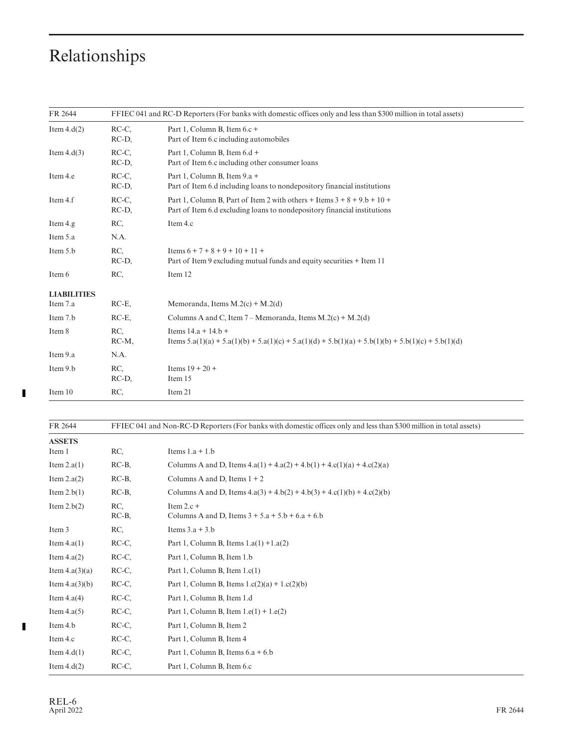| FR 2644            |                   | FFIEC 041 and RC-D Reporters (For banks with domestic offices only and less than \$300 million in total assets)                                           |
|--------------------|-------------------|-----------------------------------------------------------------------------------------------------------------------------------------------------------|
| Item $4.d(2)$      | RC-C.<br>RC-D,    | Part 1, Column B, Item 6.c +<br>Part of Item 6.c including automobiles                                                                                    |
| Item $4.d(3)$      | RC-C.<br>RC-D,    | Part 1, Column B, Item $6.d +$<br>Part of Item 6.c including other consumer loans                                                                         |
| Item 4.e           | RC-C.<br>RC-D,    | Part 1, Column B, Item 9.a +<br>Part of Item 6.d including loans to nondepository financial institutions                                                  |
| Item 4.f           | RC-C.<br>$RC-D$ , | Part 1, Column B, Part of Item 2 with others + Items $3 + 8 + 9$ , $b + 10 +$<br>Part of Item 6.d excluding loans to nondepository financial institutions |
| Item 4.g           | RC.               | Item 4.c                                                                                                                                                  |
| Item 5.a           | N.A.              |                                                                                                                                                           |
| Item 5.b           | RC,<br>RC-D,      | Items $6 + 7 + 8 + 9 + 10 + 11 +$<br>Part of Item 9 excluding mutual funds and equity securities + Item 11                                                |
| Item 6             | RC.               | Item 12                                                                                                                                                   |
| <b>LIABILITIES</b> |                   |                                                                                                                                                           |
| Item 7.a           | $RC-E$ ,          | Memoranda, Items $M(2(c) + M(2(d)))$                                                                                                                      |
| Item 7.b           | $RC-E$            | Columns A and C, Item $7 - \text{Memoranda}$ , Items M.2(c) + M.2(d)                                                                                      |
| Item 8             | RC,<br>RC-M,      | Items $14.a + 14.b +$<br>Items $5.a(1)(a) + 5.a(1)(b) + 5.a(1)(c) + 5.a(1)(d) + 5.b(1)(a) + 5.b(1)(b) + 5.b(1)(c) + 5.b(1)(d)$                            |
| Item 9.a           | N.A.              |                                                                                                                                                           |
| Item 9.b           | RC.<br>RC-D,      | Items $19 + 20 +$<br>Item 15                                                                                                                              |
| Item 10            | RC,               | Item 21                                                                                                                                                   |

| FR 2644          |                 | FFIEC 041 and Non-RC-D Reporters (For banks with domestic offices only and less than \$300 million in total assets) |
|------------------|-----------------|---------------------------------------------------------------------------------------------------------------------|
| <b>ASSETS</b>    |                 |                                                                                                                     |
| Item 1           | RC,             | Items $1.a + 1.b$                                                                                                   |
| Item $2.a(1)$    | $RC-B$          | Columns A and D, Items $4.a(1) + 4.a(2) + 4.b(1) + 4.c(1)(a) + 4.c(2)(a)$                                           |
| Item $2.a(2)$    | $RC-B$          | Columns A and D, Items $1 + 2$                                                                                      |
| Item $2.b(1)$    | $RC-B$ ,        | Columns A and D, Items $4.a(3) + 4.b(2) + 4.b(3) + 4.c(1)(b) + 4.c(2)(b)$                                           |
| Item $2.b(2)$    | RC.<br>$RC-B$ , | Item $2.c +$<br>Columns A and D, Items $3 + 5.a + 5.b + 6.a + 6.b$                                                  |
| Item 3           | RC,             | Items $3.a + 3.b$                                                                                                   |
| Item $4.a(1)$    | RC-C,           | Part 1, Column B, Items $1.a(1) + 1.a(2)$                                                                           |
| Item $4.a(2)$    | RC-C,           | Part 1, Column B, Item 1.b                                                                                          |
| Item $4.a(3)(a)$ | RC-C,           | Part 1, Column B, Item $1.c(1)$                                                                                     |
| Item $4.a(3)(b)$ | RC-C,           | Part 1, Column B, Items $1.c(2)(a) + 1.c(2)(b)$                                                                     |
| Item $4.a(4)$    | RC-C,           | Part 1, Column B, Item 1.d                                                                                          |
| Item $4.a(5)$    | RC-C,           | Part 1, Column B, Item $1.e(1) + 1.e(2)$                                                                            |
| Item 4.b         | RC-C,           | Part 1, Column B, Item 2                                                                                            |
| Item 4.c         | RC-C,           | Part 1, Column B, Item 4                                                                                            |
| Item $4.d(1)$    | RC-C,           | Part 1, Column B, Items $6.a + 6.b$                                                                                 |
| Item $4.d(2)$    | RC-C,           | Part 1, Column B, Item 6.c                                                                                          |

 $\blacksquare$ 

 $\blacksquare$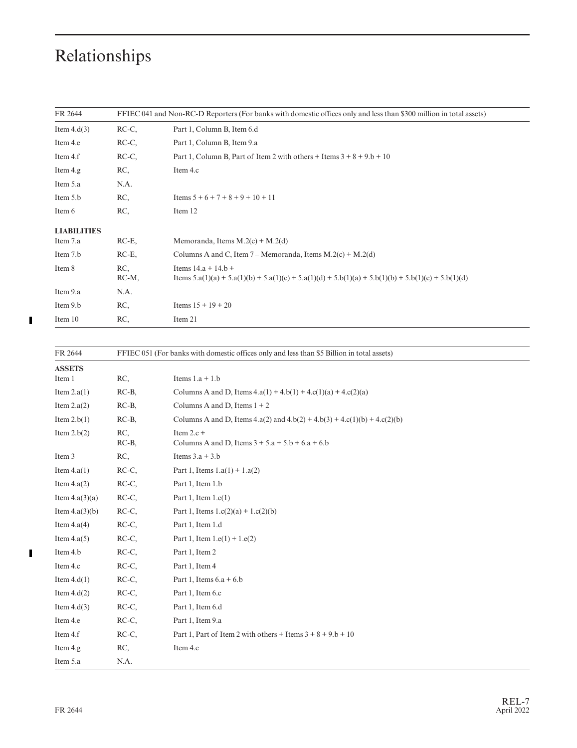| FR 2644            |                 | FFIEC 041 and Non-RC-D Reporters (For banks with domestic offices only and less than \$300 million in total assets)          |
|--------------------|-----------------|------------------------------------------------------------------------------------------------------------------------------|
| Item $4.d(3)$      | RC-C,           | Part 1, Column B, Item 6.d                                                                                                   |
| Item 4.e           | RC-C,           | Part 1, Column B, Item 9.a                                                                                                   |
| Item 4.f           | RC-C,           | Part 1, Column B, Part of Item 2 with others + Items $3 + 8 + 9$ .b + 10                                                     |
| Item 4.g           | RC,             | Item 4.c                                                                                                                     |
| Item 5.a           | N.A.            |                                                                                                                              |
| Item 5.b           | RC,             | Items $5 + 6 + 7 + 8 + 9 + 10 + 11$                                                                                          |
| Item 6             | RC,             | Item 12                                                                                                                      |
| <b>LIABILITIES</b> |                 |                                                                                                                              |
| Item 7.a           | $RC-E$ ,        | Memoranda, Items $M(2(c) + M(2(d)))$                                                                                         |
| Item 7.b           | $RC-E$ ,        | Columns A and C, Item $7 - \text{Memoranda}$ , Items M.2(c) + M.2(d)                                                         |
| Item 8             | RC,<br>$RC-M$ , | Items $14.a + 14.b +$<br>Items 5.a(1)(a) + 5.a(1)(b) + 5.a(1)(c) + 5.a(1)(d) + 5.b(1)(a) + 5.b(1)(b) + 5.b(1)(c) + 5.b(1)(d) |
| Item 9.a           | N.A.            |                                                                                                                              |
| Item 9.b           | RC,             | Items $15 + 19 + 20$                                                                                                         |
| Item 10            | RC,             | Item 21                                                                                                                      |

| FR 2644          |          | FFIEC 051 (For banks with domestic offices only and less than \$5 Billion in total assets) |  |  |
|------------------|----------|--------------------------------------------------------------------------------------------|--|--|
| <b>ASSETS</b>    |          |                                                                                            |  |  |
| Item 1           | RC,      | Items $1.a + 1.b$                                                                          |  |  |
| Item $2.a(1)$    | $RC-B$ , | Columns A and D, Items $4.a(1) + 4.b(1) + 4.c(1)(a) + 4.c(2)(a)$                           |  |  |
| Item $2.a(2)$    | $RC-B$ , | Columns A and D, Items $1 + 2$                                                             |  |  |
| Item $2.b(1)$    | $RC-B$ , | Columns A and D, Items 4.a(2) and $4.b(2) + 4.b(3) + 4.c(1)(b) + 4.c(2)(b)$                |  |  |
| Item $2.b(2)$    | RC,      | Item $2.c +$                                                                               |  |  |
|                  | $RC-B$ , | Columns A and D, Items $3 + 5.a + 5.b + 6.a + 6.b$                                         |  |  |
| Item 3           | RC,      | Items $3.a + 3.b$                                                                          |  |  |
| Item $4.a(1)$    | $RC-C$ , | Part 1, Items $1.a(1) + 1.a(2)$                                                            |  |  |
| Item $4.a(2)$    | RC-C.    | Part 1, Item 1.b                                                                           |  |  |
| Item $4.a(3)(a)$ | $RC-C$ , | Part 1, Item $1.c(1)$                                                                      |  |  |
| Item $4.a(3)(b)$ | RC-C.    | Part 1, Items $1.c(2)(a) + 1.c(2)(b)$                                                      |  |  |
| Item $4.a(4)$    | $RC-C$ , | Part 1, Item 1.d                                                                           |  |  |
| Item $4.a(5)$    | RC-C.    | Part 1, Item $1.e(1) + 1.e(2)$                                                             |  |  |
| Item 4.b         | $RC-C$ , | Part 1, Item 2                                                                             |  |  |
| Item 4.c         | $RC-C$ , | Part 1, Item 4                                                                             |  |  |
| Item $4.d(1)$    | $RC-C$ , | Part 1, Items $6.a + 6.b$                                                                  |  |  |
| Item $4.d(2)$    | $RC-C$ , | Part 1, Item 6.c                                                                           |  |  |
| Item $4.d(3)$    | $RC-C$ , | Part 1, Item 6.d                                                                           |  |  |
| Item 4.e         | $RC-C$ , | Part 1, Item 9.a                                                                           |  |  |
| Item 4.f         | RC-C,    | Part 1, Part of Item 2 with others + Items $3 + 8 + 9$ .b + 10                             |  |  |
| Item 4.g         | RC,      | Item 4.c                                                                                   |  |  |
| Item 5.a         | N.A.     |                                                                                            |  |  |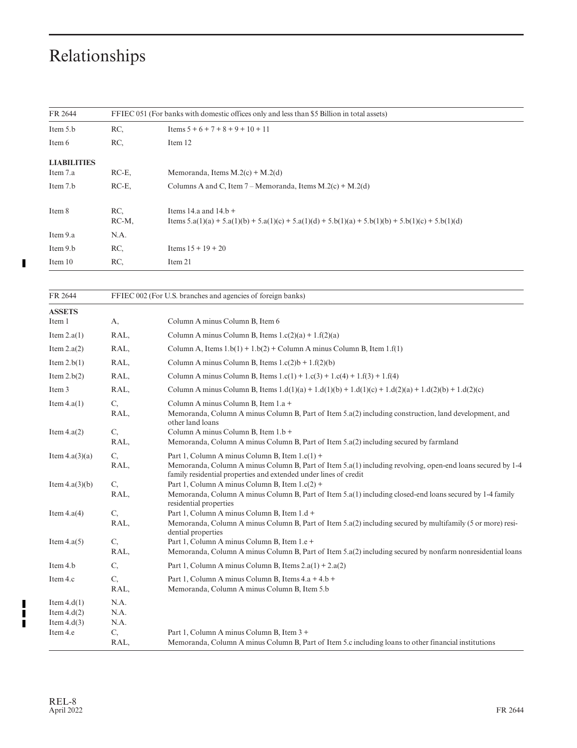$\blacksquare$ 

| FR 2644            | FFIEC 051 (For banks with domestic offices only and less than \$5 Billion in total assets) |                                                                                                     |  |
|--------------------|--------------------------------------------------------------------------------------------|-----------------------------------------------------------------------------------------------------|--|
| Item 5.b           | RC.                                                                                        | Items $5 + 6 + 7 + 8 + 9 + 10 + 11$                                                                 |  |
| Item 6             | RC.                                                                                        | Item 12                                                                                             |  |
| <b>LIABILITIES</b> |                                                                                            |                                                                                                     |  |
| Item 7.a           | $RC-E$ ,                                                                                   | Memoranda, Items $M.2(c) + M.2(d)$                                                                  |  |
| Item 7.b           | $RC-E$ ,                                                                                   | Columns A and C, Item $7 - \text{Memoranda}$ , Items M.2(c) + M.2(d)                                |  |
| Item 8             | RC.                                                                                        | Items 14.a and $14.b +$                                                                             |  |
|                    | $RC-M$ ,                                                                                   | Items 5.a(1)(a) + 5.a(1)(b) + 5.a(1)(c) + 5.a(1)(d) + 5.b(1)(a) + 5.b(1)(b) + 5.b(1)(c) + 5.b(1)(d) |  |
| Item 9.a           | N.A.                                                                                       |                                                                                                     |  |
| Item 9.b           | RC.                                                                                        | Items $15 + 19 + 20$                                                                                |  |
| Item 10            | RC,                                                                                        | Item 21                                                                                             |  |

| FR 2644                   |            | FFIEC 002 (For U.S. branches and agencies of foreign banks)                                                                                                                    |  |  |
|---------------------------|------------|--------------------------------------------------------------------------------------------------------------------------------------------------------------------------------|--|--|
| <b>ASSETS</b><br>Item 1   | А,         | Column A minus Column B, Item 6                                                                                                                                                |  |  |
|                           |            | Column A minus Column B, Items $1.c(2)(a) + 1.f(2)(a)$                                                                                                                         |  |  |
| Item $2.a(1)$             | RAL,       |                                                                                                                                                                                |  |  |
| Item $2.a(2)$             | RAL,       | Column A, Items $1.b(1) + 1.b(2) + Column A$ minus Column B, Item $1.f(1)$                                                                                                     |  |  |
| Item $2.b(1)$             | RAL,       | Column A minus Column B, Items $1.c(2)b + 1.f(2)(b)$                                                                                                                           |  |  |
| Item $2.b(2)$             | RAL,       | Column A minus Column B, Items $1.c(1) + 1.c(3) + 1.c(4) + 1.f(3) + 1.f(4)$                                                                                                    |  |  |
| Item 3                    | RAL,       | Column A minus Column B, Items $1.d(1)(a) + 1.d(1)(b) + 1.d(1)(c) + 1.d(2)(a) + 1.d(2)(b) + 1.d(2)(c)$                                                                         |  |  |
| Item $4.a(1)$             | C,<br>RAL, | Column A minus Column B, Item 1.a +<br>Memoranda, Column A minus Column B, Part of Item 5.a(2) including construction, land development, and<br>other land loans               |  |  |
| Item $4.a(2)$             | C,         | Column A minus Column B, Item 1.b +                                                                                                                                            |  |  |
|                           | RAL,       | Memoranda, Column A minus Column B, Part of Item 5.a(2) including secured by farmland                                                                                          |  |  |
| Item $4.a(3)(a)$          | C,         | Part 1, Column A minus Column B, Item $1.c(1)$ +                                                                                                                               |  |  |
|                           | RAL,       | Memoranda, Column A minus Column B, Part of Item 5.a(1) including revolving, open-end loans secured by 1-4<br>family residential properties and extended under lines of credit |  |  |
| Item $4.a(3)(b)$          | C,         | Part 1, Column A minus Column B, Item 1.c(2) +                                                                                                                                 |  |  |
|                           | RAL,       | Memoranda, Column A minus Column B, Part of Item 5.a(1) including closed-end loans secured by 1-4 family<br>residential properties                                             |  |  |
| Item $4.a(4)$             | C,         | Part 1, Column A minus Column B, Item 1.d +                                                                                                                                    |  |  |
|                           | RAL,       | Memoranda, Column A minus Column B, Part of Item 5.a(2) including secured by multifamily (5 or more) resi-<br>dential properties                                               |  |  |
| Item $4.a(5)$             | C,         | Part 1, Column A minus Column B, Item 1.e +                                                                                                                                    |  |  |
|                           | RAL,       | Memoranda, Column A minus Column B, Part of Item 5.a(2) including secured by nonfarm nonresidential loans                                                                      |  |  |
| Item 4.b                  | C,         | Part 1, Column A minus Column B, Items $2.a(1) + 2.a(2)$                                                                                                                       |  |  |
| Item 4.c                  | C,         | Part 1, Column A minus Column B, Items 4.a + 4.b +                                                                                                                             |  |  |
|                           | RAL,       | Memoranda, Column A minus Column B, Item 5.b                                                                                                                                   |  |  |
| Item $4.d(1)$             | N.A.       |                                                                                                                                                                                |  |  |
| Item $4.d(2)$             | N.A.       |                                                                                                                                                                                |  |  |
| Item $4.d(3)$<br>Item 4.e | N.A.<br>C, | Part 1, Column A minus Column B, Item 3 +                                                                                                                                      |  |  |
|                           | RAL,       | Memoranda, Column A minus Column B, Part of Item 5.c including loans to other financial institutions                                                                           |  |  |

╏